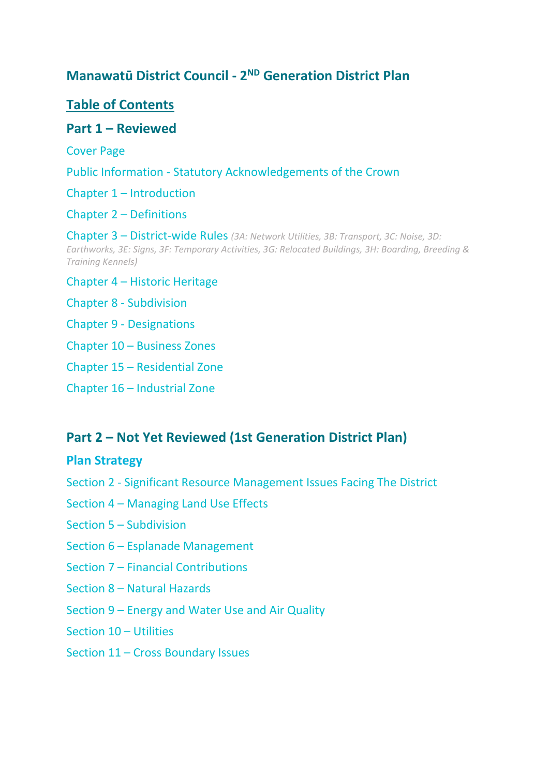# **Manawatū District Council - 2<sup>ND</sup> Generation District Plan**

# **Table of Contents**

### **Part 1 – Reviewed**

Cover Page

Public Information - Statutory Acknowledgements of the Crown

Chapter 1 – Introduction

Chapter 2 – Definitions

Chapter 3 – District-wide Rules *(3A: Network Utilities, 3B: Transport, 3C: Noise, 3D: Earthworks, 3E: Signs, 3F: Temporary Activities, 3G: Relocated Buildings, 3H: Boarding, Breeding & Training Kennels)*

Chapter 4 – Historic Heritage

Chapter 8 - Subdivision

Chapter 9 - Designations

Chapter 10 – Business Zones

Chapter 15 – Residential Zone

Chapter 16 – Industrial Zone

## **Part 2 – Not Yet Reviewed (1st Generation District Plan)**

#### **Plan Strategy**

- Section 2 Significant Resource Management Issues Facing The District
- Section 4 Managing Land Use Effects
- Section 5 Subdivision
- Section 6 Esplanade Management
- Section 7 Financial Contributions
- Section 8 Natural Hazards
- Section 9 Energy and Water Use and Air Quality
- Section 10 Utilities
- Section 11 Cross Boundary Issues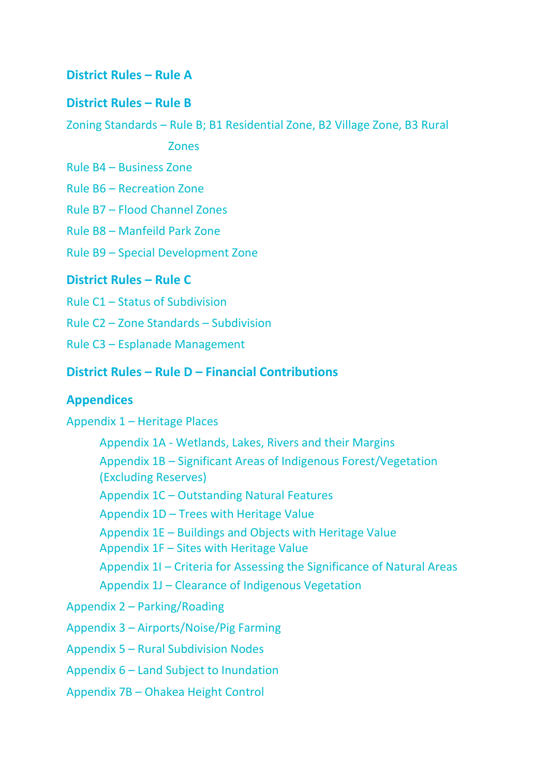### **District Rules – Rule A**

### **District Rules – Rule B**

Zoning Standards – Rule B; B1 Residential Zone, B2 Village Zone, B3 Rural

Zones

Rule B4 – Business Zone

Rule B6 – Recreation Zone

Rule B7 – Flood Channel Zones

Rule B8 – Manfeild Park Zone

Rule B9 – Special Development Zone

#### **District Rules – Rule C**

Rule C1 – Status of Subdivision

Rule C2 – Zone Standards – Subdivision

Rule C3 – Esplanade Management

### **District Rules – Rule D – Financial Contributions**

#### **Appendices**

Appendix 1 – Heritage Places

Appendix 1A - Wetlands, Lakes, Rivers and their Margins

Appendix 1B – Significant Areas of Indigenous Forest/Vegetation (Excluding Reserves)

Appendix 1C – Outstanding Natural Features

Appendix 1D – Trees with Heritage Value

Appendix 1E – Buildings and Objects with Heritage Value

Appendix 1F – Sites with Heritage Value

Appendix 1I – Criteria for Assessing the Significance of Natural Areas

Appendix 1J – Clearance of Indigenous Vegetation

Appendix 2 – Parking/Roading

Appendix 3 – Airports/Noise/Pig Farming

Appendix 5 – Rural Subdivision Nodes

Appendix 6 – Land Subject to Inundation

Appendix 7B – Ohakea Height Control